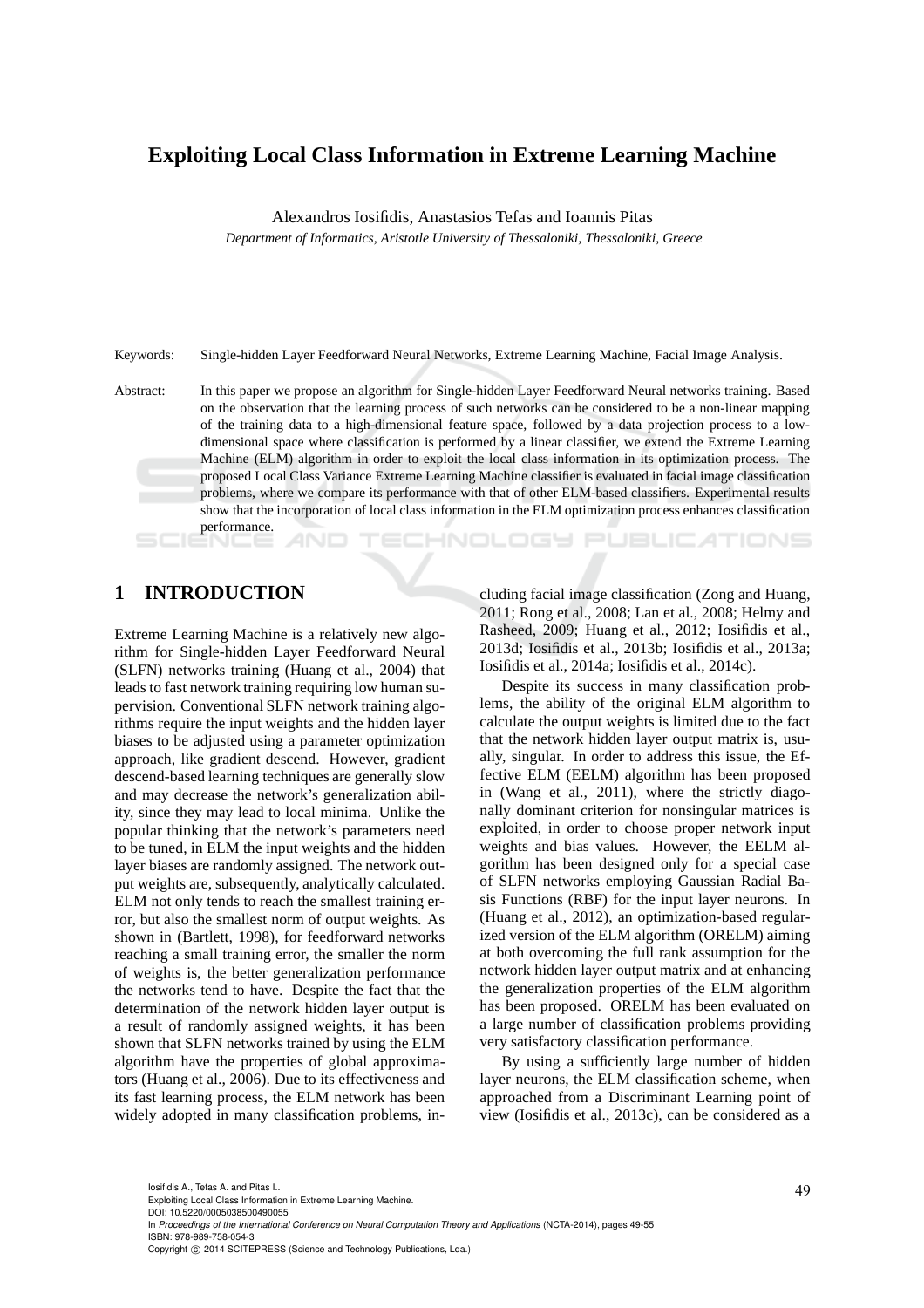# **Exploiting Local Class Information in Extreme Learning Machine**

Alexandros Iosifidis, Anastasios Tefas and Ioannis Pitas

*Department of Informatics, Aristotle University of Thessaloniki, Thessaloniki, Greece*

Keywords: Single-hidden Layer Feedforward Neural Networks, Extreme Learning Machine, Facial Image Analysis.

Abstract: In this paper we propose an algorithm for Single-hidden Layer Feedforward Neural networks training. Based on the observation that the learning process of such networks can be considered to be a non-linear mapping of the training data to a high-dimensional feature space, followed by a data projection process to a lowdimensional space where classification is performed by a linear classifier, we extend the Extreme Learning Machine (ELM) algorithm in order to exploit the local class information in its optimization process. The proposed Local Class Variance Extreme Learning Machine classifier is evaluated in facial image classification problems, where we compare its performance with that of other ELM-based classifiers. Experimental results show that the incorporation of local class information in the ELM optimization process enhances classification performance. 'ECHNOLOGY PUBLICATIONS

# **1 INTRODUCTION**

Extreme Learning Machine is a relatively new algorithm for Single-hidden Layer Feedforward Neural (SLFN) networks training (Huang et al., 2004) that leads to fast network training requiring low human supervision. Conventional SLFN network training algorithms require the input weights and the hidden layer biases to be adjusted using a parameter optimization approach, like gradient descend. However, gradient descend-based learning techniques are generally slow and may decrease the network's generalization ability, since they may lead to local minima. Unlike the popular thinking that the network's parameters need to be tuned, in ELM the input weights and the hidden layer biases are randomly assigned. The network output weights are, subsequently, analytically calculated. ELM not only tends to reach the smallest training error, but also the smallest norm of output weights. As shown in (Bartlett, 1998), for feedforward networks reaching a small training error, the smaller the norm of weights is, the better generalization performance the networks tend to have. Despite the fact that the determination of the network hidden layer output is a result of randomly assigned weights, it has been shown that SLFN networks trained by using the ELM algorithm have the properties of global approximators (Huang et al., 2006). Due to its effectiveness and its fast learning process, the ELM network has been widely adopted in many classification problems, including facial image classification (Zong and Huang, 2011; Rong et al., 2008; Lan et al., 2008; Helmy and Rasheed, 2009; Huang et al., 2012; Iosifidis et al., 2013d; Iosifidis et al., 2013b; Iosifidis et al., 2013a; Iosifidis et al., 2014a; Iosifidis et al., 2014c).

Despite its success in many classification problems, the ability of the original ELM algorithm to calculate the output weights is limited due to the fact that the network hidden layer output matrix is, usually, singular. In order to address this issue, the Effective ELM (EELM) algorithm has been proposed in (Wang et al., 2011), where the strictly diagonally dominant criterion for nonsingular matrices is exploited, in order to choose proper network input weights and bias values. However, the EELM algorithm has been designed only for a special case of SLFN networks employing Gaussian Radial Basis Functions (RBF) for the input layer neurons. In (Huang et al., 2012), an optimization-based regularized version of the ELM algorithm (ORELM) aiming at both overcoming the full rank assumption for the network hidden layer output matrix and at enhancing the generalization properties of the ELM algorithm has been proposed. ORELM has been evaluated on a large number of classification problems providing very satisfactory classification performance.

By using a sufficiently large number of hidden layer neurons, the ELM classification scheme, when approached from a Discriminant Learning point of view (Iosifidis et al., 2013c), can be considered as a

DOI: 10.5220/0005038500490055

In *Proceedings of the International Conference on Neural Computation Theory and Applications* (NCTA-2014), pages 49-55 ISBN: 978-989-758-054-3

losifidis A., Tefas A. and Pitas I..<br>Exploiting Local Class Information in Extreme Learning Machine.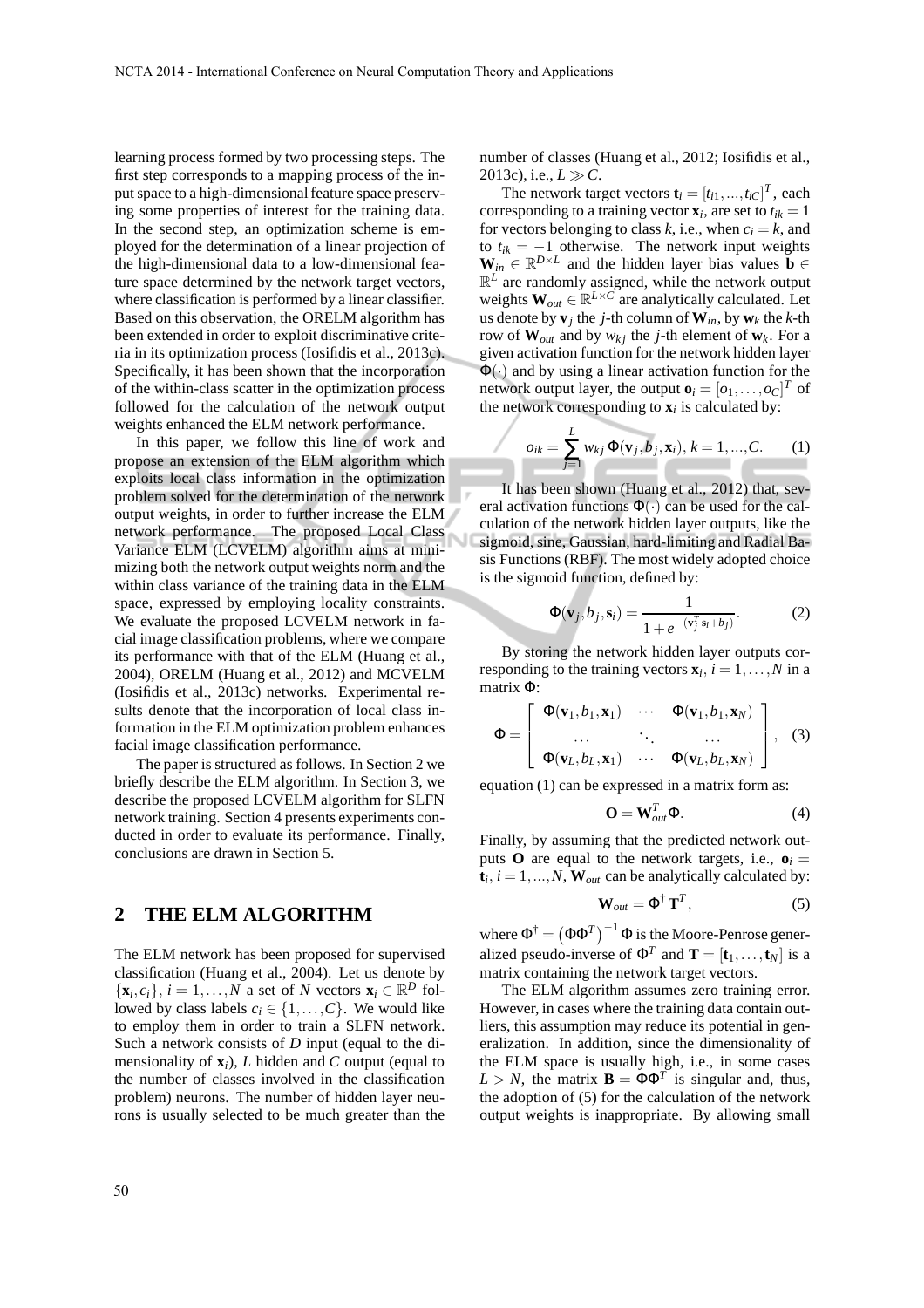learning process formed by two processing steps. The first step corresponds to a mapping process of the input space to a high-dimensional feature space preserving some properties of interest for the training data. In the second step, an optimization scheme is employed for the determination of a linear projection of the high-dimensional data to a low-dimensional feature space determined by the network target vectors, where classification is performed by a linear classifier. Based on this observation, the ORELM algorithm has been extended in order to exploit discriminative criteria in its optimization process (Iosifidis et al., 2013c). Specifically, it has been shown that the incorporation of the within-class scatter in the optimization process followed for the calculation of the network output weights enhanced the ELM network performance.

In this paper, we follow this line of work and propose an extension of the ELM algorithm which exploits local class information in the optimization problem solved for the determination of the network output weights, in order to further increase the ELM network performance. The proposed Local Class Variance ELM (LCVELM) algorithm aims at minimizing both the network output weights norm and the within class variance of the training data in the ELM space, expressed by employing locality constraints. We evaluate the proposed LCVELM network in facial image classification problems, where we compare its performance with that of the ELM (Huang et al., 2004), ORELM (Huang et al., 2012) and MCVELM (Iosifidis et al., 2013c) networks. Experimental results denote that the incorporation of local class information in the ELM optimization problem enhances facial image classification performance.

The paper is structured as follows. In Section 2 we briefly describe the ELM algorithm. In Section 3, we describe the proposed LCVELM algorithm for SLFN network training. Section 4 presents experiments conducted in order to evaluate its performance. Finally, conclusions are drawn in Section 5.

# **2 THE ELM ALGORITHM**

The ELM network has been proposed for supervised classification (Huang et al., 2004). Let us denote by  $\{\mathbf{x}_i, c_i\}, i = 1, \ldots, N$  a set of *N* vectors  $\mathbf{x}_i \in \mathbb{R}^D$  followed by class labels  $c_i \in \{1, ..., C\}$ . We would like to employ them in order to train a SLFN network. Such a network consists of *D* input (equal to the dimensionality of  $\mathbf{x}_i$ ), *L* hidden and *C* output (equal to the number of classes involved in the classification problem) neurons. The number of hidden layer neurons is usually selected to be much greater than the

The network target vectors  $\mathbf{t}_i = [t_{i1},...,t_{iC}]^T$ , each corresponding to a training vector  $\mathbf{x}_i$ , are set to  $t_{ik} = 1$ for vectors belonging to class  $k$ , i.e., when  $c_i = k$ , and to  $t_{ik} = -1$  otherwise. The network input weights  $\mathbf{W}_{in} \in \mathbb{R}^{D \times L}$  and the hidden layer bias values  $\mathbf{b} \in$  $\mathbb{R}^L$  are randomly assigned, while the network output weights  $\mathbf{W}_{out} \in \mathbb{R}^{L \times C}$  are analytically calculated. Let us denote by  $\mathbf{v}_j$  the *j*-th column of  $\mathbf{W}_{in}$ , by  $\mathbf{w}_k$  the *k*-th row of  $W_{out}$  and by  $w_{ki}$  the *j*-th element of  $W_k$ . For a given activation function for the network hidden layer  $\Phi(\cdot)$  and by using a linear activation function for the network output layer, the output  $\mathbf{o}_i = [o_1, \dots, o_C]^T$  of the network corresponding to  $\mathbf{x}_i$  is calculated by:

$$
o_{ik} = \sum_{j=1}^{L} w_{kj} \, \Phi(\mathbf{v}_j, b_j, \mathbf{x}_i), k = 1, ..., C.
$$
 (1)

It has been shown (Huang et al., 2012) that, several activation functions  $\Phi(\cdot)$  can be used for the calculation of the network hidden layer outputs, like the sigmoid, sine, Gaussian, hard-limiting and Radial Basis Functions (RBF). The most widely adopted choice is the sigmoid function, defined by:

$$
\Phi(\mathbf{v}_j, b_j, \mathbf{s}_i) = \frac{1}{1 + e^{-(\mathbf{v}_j^T \mathbf{s}_i + b_j)}}.
$$
 (2)

By storing the network hidden layer outputs corresponding to the training vectors  $\mathbf{x}_i$ ,  $i = 1, \ldots, N$  in a matrix Φ:

$$
\Phi = \left[ \begin{array}{cccc} \Phi(\mathbf{v}_1, b_1, \mathbf{x}_1) & \cdots & \Phi(\mathbf{v}_1, b_1, \mathbf{x}_N) \\ \cdots & \cdots & \cdots \\ \Phi(\mathbf{v}_L, b_L, \mathbf{x}_1) & \cdots & \Phi(\mathbf{v}_L, b_L, \mathbf{x}_N) \end{array} \right], \quad (3)
$$

equation (1) can be expressed in a matrix form as:

$$
\mathbf{O} = \mathbf{W}_{out}^T \mathbf{\Phi}.
$$
 (4)

Finally, by assuming that the predicted network outputs **O** are equal to the network targets, i.e.,  $\mathbf{o}_i =$  $\mathbf{t}_i$ ,  $i = 1, ..., N$ ,  $\mathbf{W}_{out}$  can be analytically calculated by:

$$
\mathbf{W}_{out} = \Phi^{\dagger} \mathbf{T}^T, \tag{5}
$$

where  $\Phi^{\dagger} = \left( \Phi \Phi^{T} \right)^{-1} \Phi$  is the Moore-Penrose generalized pseudo-inverse of  $\Phi^T$  and  $\mathbf{T} = [\mathbf{t}_1, \dots, \mathbf{t}_N]$  is a matrix containing the network target vectors.

The ELM algorithm assumes zero training error. However, in cases where the training data contain outliers, this assumption may reduce its potential in generalization. In addition, since the dimensionality of the ELM space is usually high, i.e., in some cases  $L > N$ , the matrix  $\mathbf{B} = \Phi \Phi^T$  is singular and, thus, the adoption of (5) for the calculation of the network output weights is inappropriate. By allowing small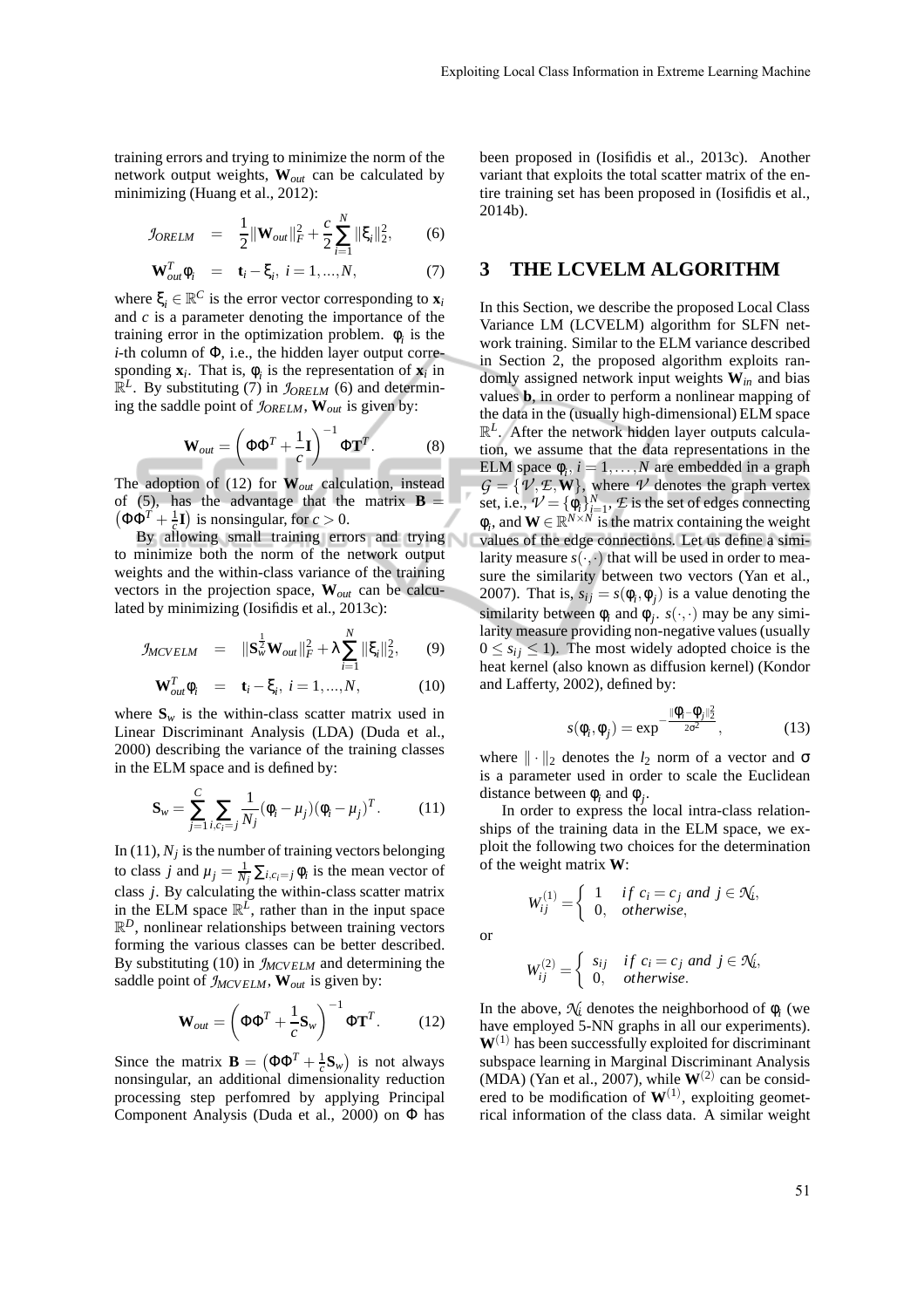training errors and trying to minimize the norm of the network output weights, **W***out* can be calculated by minimizing (Huang et al., 2012):

$$
\mathcal{J}_{ORELM} = \frac{1}{2} \|\mathbf{W}_{out}\|_F^2 + \frac{c}{2} \sum_{i=1}^N \|\xi_i\|_2^2, \qquad (6)
$$

$$
\mathbf{W}_{out}^T \phi_i = \mathbf{t}_i - \xi_i, \ i = 1, ..., N,
$$
 (7)

where  $\xi_i \in \mathbb{R}^C$  is the error vector corresponding to  $\mathbf{x}_i$ and *c* is a parameter denoting the importance of the training error in the optimization problem.  $\phi_i$  is the *i*-th column of Φ, i.e., the hidden layer output corresponding  $\mathbf{x}_i$ . That is,  $\phi_i$  is the representation of  $\mathbf{x}_i$  in  $\mathbb{R}^L$ . By substituting (7) in *J<sub>ORELM*</sub> (6) and determining the saddle point of *JORELM*, **W***out* is given by:

$$
\mathbf{W}_{out} = \left(\Phi\Phi^T + \frac{1}{c}\mathbf{I}\right)^{-1}\Phi\mathbf{T}^T.
$$
 (8)

The adoption of (12) for  $\mathbf{W}_{out}$  calculation, instead  $(\Phi \Phi^T + \frac{1}{c} \mathbf{I})$  is nonsingular, for  $c > 0$ . of (5), has the advantage that the matrix  $\mathbf{B} =$ 

By allowing small training errors and trying to minimize both the norm of the network output weights and the within-class variance of the training vectors in the projection space, **W***out* can be calculated by minimizing (Iosifidis et al., 2013c):

$$
\mathcal{J}_{MCVELM} = ||\mathbf{S}_{w}^{\frac{1}{2}} \mathbf{W}_{out}||_{F}^{2} + \lambda \sum_{i=1}^{N} ||\xi_{i}||_{2}^{2}, \qquad (9)
$$

$$
\mathbf{W}_{out}^T \phi_i = \mathbf{t}_i - \xi_i, \ i = 1, ..., N,
$$
 (10)

where  $S_w$  is the within-class scatter matrix used in Linear Discriminant Analysis (LDA) (Duda et al., 2000) describing the variance of the training classes in the ELM space and is defined by:

$$
\mathbf{S}_{w} = \sum_{j=1}^{C} \sum_{i, c_i = j} \frac{1}{N_j} (\phi_i - \mu_j) (\phi_i - \mu_j)^T.
$$
 (11)

In  $(11)$ ,  $N_j$  is the number of training vectors belonging to class *j* and  $\mu_j = \frac{1}{N_j} \sum_{i, c_i = j} \phi_i$  is the mean vector of class *j*. By calculating the within-class scatter matrix in the ELM space  $\mathbb{R}^L$ , rather than in the input space  $\mathbb{R}^D$ , nonlinear relationships between training vectors forming the various classes can be better described. By substituting (10) in *JMCV ELM* and determining the saddle point of *JMCV ELM*, **W***out* is given by:

$$
\mathbf{W}_{out} = \left(\Phi\Phi^T + \frac{1}{c}\mathbf{S}_w\right)^{-1}\Phi\mathbf{T}^T.
$$
 (12)

Since the matrix  $\mathbf{B} = (\Phi \Phi^T + \frac{1}{c} \mathbf{S}_w)$  is not always nonsingular, an additional dimensionality reduction processing step perfomred by applying Principal Component Analysis (Duda et al., 2000) on Φ has

been proposed in (Iosifidis et al., 2013c). Another variant that exploits the total scatter matrix of the entire training set has been proposed in (Iosifidis et al., 2014b).

### **3 THE LCVELM ALGORITHM**

In this Section, we describe the proposed Local Class Variance LM (LCVELM) algorithm for SLFN network training. Similar to the ELM variance described in Section 2, the proposed algorithm exploits randomly assigned network input weights **W***in* and bias values **b**, in order to perform a nonlinear mapping of the data in the (usually high-dimensional) ELM space  $\mathbb{R}^L$ . After the network hidden layer outputs calculation, we assume that the data representations in the ELM space  $\phi_i$ ,  $i = 1, ..., N$  are embedded in a graph  $G = \{V, E, W\}$ , where V denotes the graph vertex set, i.e.,  $\mathcal{V} = \{\phi_i\}_{i=1}^N$ ,  $\mathcal{L}$  is the set of edges connecting  $\phi_i$ , and  $\mathbf{W} \in \mathbb{R}^{N \times N}$  is the matrix containing the weight values of the edge connections. Let us define a similarity measure  $s(\cdot, \cdot)$  that will be used in order to measure the similarity between two vectors (Yan et al., 2007). That is,  $s_{ij} = s(\phi_i, \phi_j)$  is a value denoting the similarity between  $\phi_i$  and  $\phi_j$ . *s*( $\cdot$ , $\cdot$ ) may be any similarity measure providing non-negative values (usually  $0 \leq s_{ij} \leq 1$ ). The most widely adopted choice is the heat kernel (also known as diffusion kernel) (Kondor and Lafferty, 2002), defined by:

$$
s(\phi_i, \phi_j) = \exp^{-\frac{\|\phi_i - \phi_j\|_2^2}{2\sigma^2}}, \tag{13}
$$

where  $\|\cdot\|_2$  denotes the *l*<sub>2</sub> norm of a vector and  $\sigma$ is a parameter used in order to scale the Euclidean distance between  $\phi_i$  and  $\phi_j$ .

In order to express the local intra-class relationships of the training data in the ELM space, we exploit the following two choices for the determination of the weight matrix **W**:

$$
W_{ij}^{(1)} = \begin{cases} 1 & if \ c_i = c_j \ and \ j \in \mathcal{N}_i, \\ 0, & otherwise, \end{cases}
$$

or

$$
W_{ij}^{(2)} = \begin{cases} s_{ij} & \text{if } c_i = c_j \text{ and } j \in \mathcal{N}_i, \\ 0, & \text{otherwise.} \end{cases}
$$

In the above,  $\mathcal{N}_i$  denotes the neighborhood of  $\phi_i$  (we have employed 5-NN graphs in all our experiments).  $W^{(1)}$  has been successfully exploited for discriminant subspace learning in Marginal Discriminant Analysis  $(MDA)$  (Yan et al., 2007), while  $W^{(2)}$  can be considered to be modification of  $W^{(1)}$ , exploiting geometrical information of the class data. A similar weight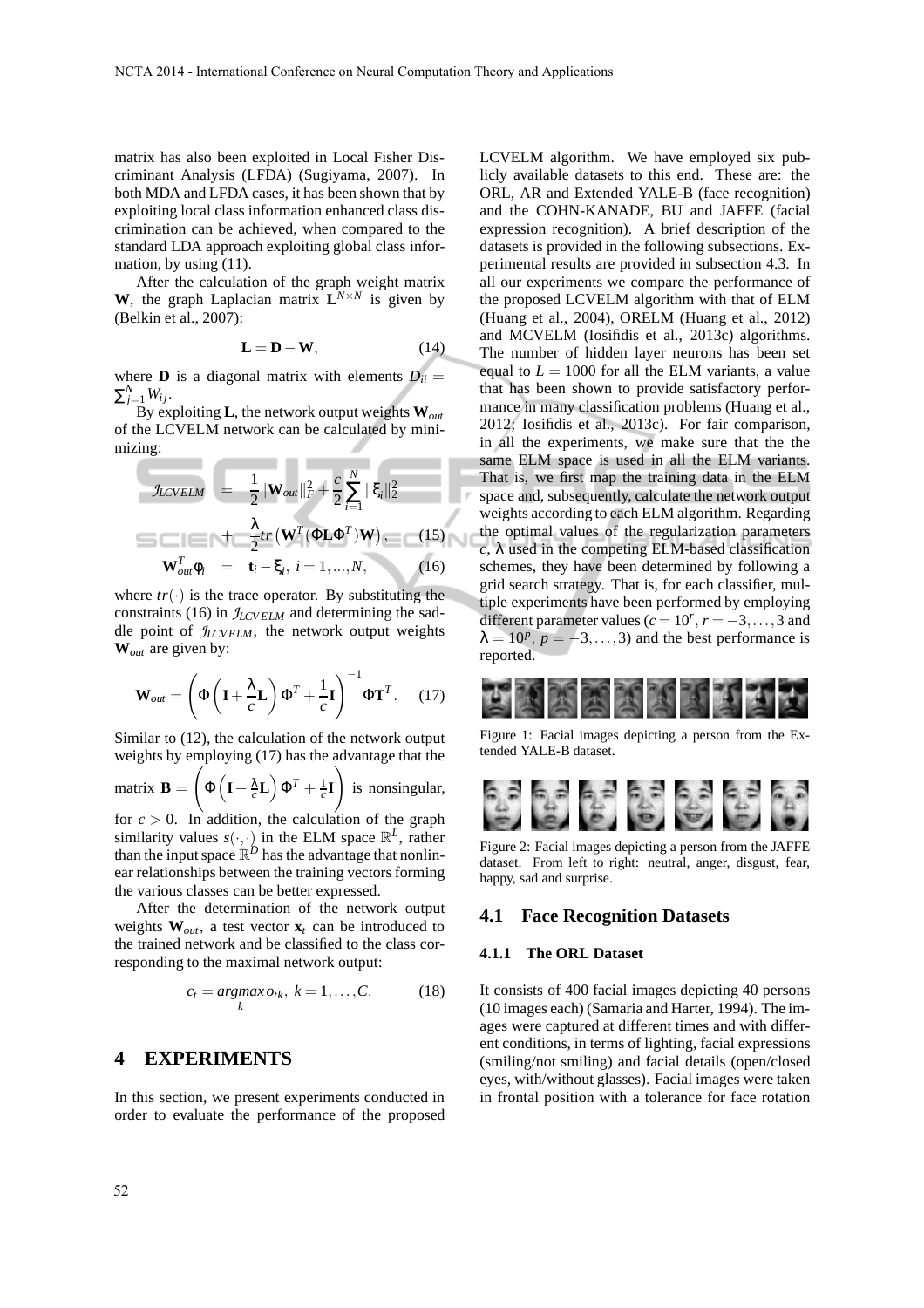matrix has also been exploited in Local Fisher Discriminant Analysis (LFDA) (Sugiyama, 2007). In both MDA and LFDA cases, it has been shown that by exploiting local class information enhanced class discrimination can be achieved, when compared to the standard LDA approach exploiting global class information, by using  $(11)$ .

After the calculation of the graph weight matrix **W**, the graph Laplacian matrix  $\mathbf{L}^{N \times N}$  is given by (Belkin et al., 2007):

$$
\mathbf{L} = \mathbf{D} - \mathbf{W},\tag{14}
$$

where **D** is a diagonal matrix with elements  $D_{ii}$  =  $\sum_{j=1}^N W_{ij}$ .

By exploiting **L**, the network output weights **W***out* of the LCVELM network can be calculated by minimizing:

$$
\mathcal{J}_{LVELM} = \frac{1}{2} ||\mathbf{W}_{out}||_F^2 + \frac{c}{2} \sum_{i=1}^N ||\xi_i||_2^2
$$
  
\n
$$
+ \frac{\lambda}{2} tr(\mathbf{W}^T (\Phi \mathbf{L} \Phi^T) \mathbf{W}), \quad (15)
$$
  
\n
$$
\mathbf{W}_{out}^T \phi_i = \mathbf{t}_i - \xi_i, \quad i = 1, ..., N, \quad (16)
$$

where  $tr(\cdot)$  is the trace operator. By substituting the constraints (16) in *JLCV ELM* and determining the saddle point of *JLCV ELM*, the network output weights **W***out* are given by:

$$
\mathbf{W}_{out} = \left(\Phi\left(\mathbf{I} + \frac{\lambda}{c}\mathbf{L}\right)\Phi^T + \frac{1}{c}\mathbf{I}\right)^{-1}\Phi\mathbf{T}^T.
$$
 (17)

Similar to (12), the calculation of the network output weights by employing (17) has the advantage that the

matrix **B** = 
$$
\left(\Phi\left(\mathbf{I} + \frac{\lambda}{c}\mathbf{L}\right)\Phi^T + \frac{1}{c}\mathbf{I}\right)
$$
 is nonsingular,

for  $c > 0$ . In addition, the calculation of the graph similarity values  $s(\cdot, \cdot)$  in the ELM space  $\mathbb{R}^L$ , rather than the input space  $\mathbb{R}^D$  has the advantage that nonlinear relationships between the training vectors forming the various classes can be better expressed.

After the determination of the network output weights  $W_{out}$ , a test vector  $x_t$  can be introduced to the trained network and be classified to the class corresponding to the maximal network output:

$$
c_t = \underset{k}{argmax} o_{tk}, \ k = 1, \ldots, C. \tag{18}
$$

## **4 EXPERIMENTS**

In this section, we present experiments conducted in order to evaluate the performance of the proposed LCVELM algorithm. We have employed six publicly available datasets to this end. These are: the ORL, AR and Extended YALE-B (face recognition) and the COHN-KANADE, BU and JAFFE (facial expression recognition). A brief description of the datasets is provided in the following subsections. Experimental results are provided in subsection 4.3. In all our experiments we compare the performance of the proposed LCVELM algorithm with that of ELM (Huang et al., 2004), ORELM (Huang et al., 2012) and MCVELM (Iosifidis et al., 2013c) algorithms. The number of hidden layer neurons has been set equal to  $L = 1000$  for all the ELM variants, a value that has been shown to provide satisfactory performance in many classification problems (Huang et al., 2012; Iosifidis et al., 2013c). For fair comparison, in all the experiments, we make sure that the the same ELM space is used in all the ELM variants. That is, we first map the training data in the ELM space and, subsequently, calculate the network output weights according to each ELM algorithm. Regarding the optimal values of the regularization parameters  $c, \lambda$  used in the competing ELM-based classification schemes, they have been determined by following a grid search strategy. That is, for each classifier, multiple experiments have been performed by employing different parameter values ( $c = 10^r$ ,  $r = -3, \ldots, 3$  and  $\lambda = 10^p$ ,  $p = -3,...,3$ ) and the best performance is reported.



Figure 1: Facial images depicting a person from the Extended YALE-B dataset.



Figure 2: Facial images depicting a person from the JAFFE dataset. From left to right: neutral, anger, disgust, fear, happy, sad and surprise.

### **4.1 Face Recognition Datasets**

#### **4.1.1 The ORL Dataset**

It consists of 400 facial images depicting 40 persons (10 images each) (Samaria and Harter, 1994). The images were captured at different times and with different conditions, in terms of lighting, facial expressions (smiling/not smiling) and facial details (open/closed eyes, with/without glasses). Facial images were taken in frontal position with a tolerance for face rotation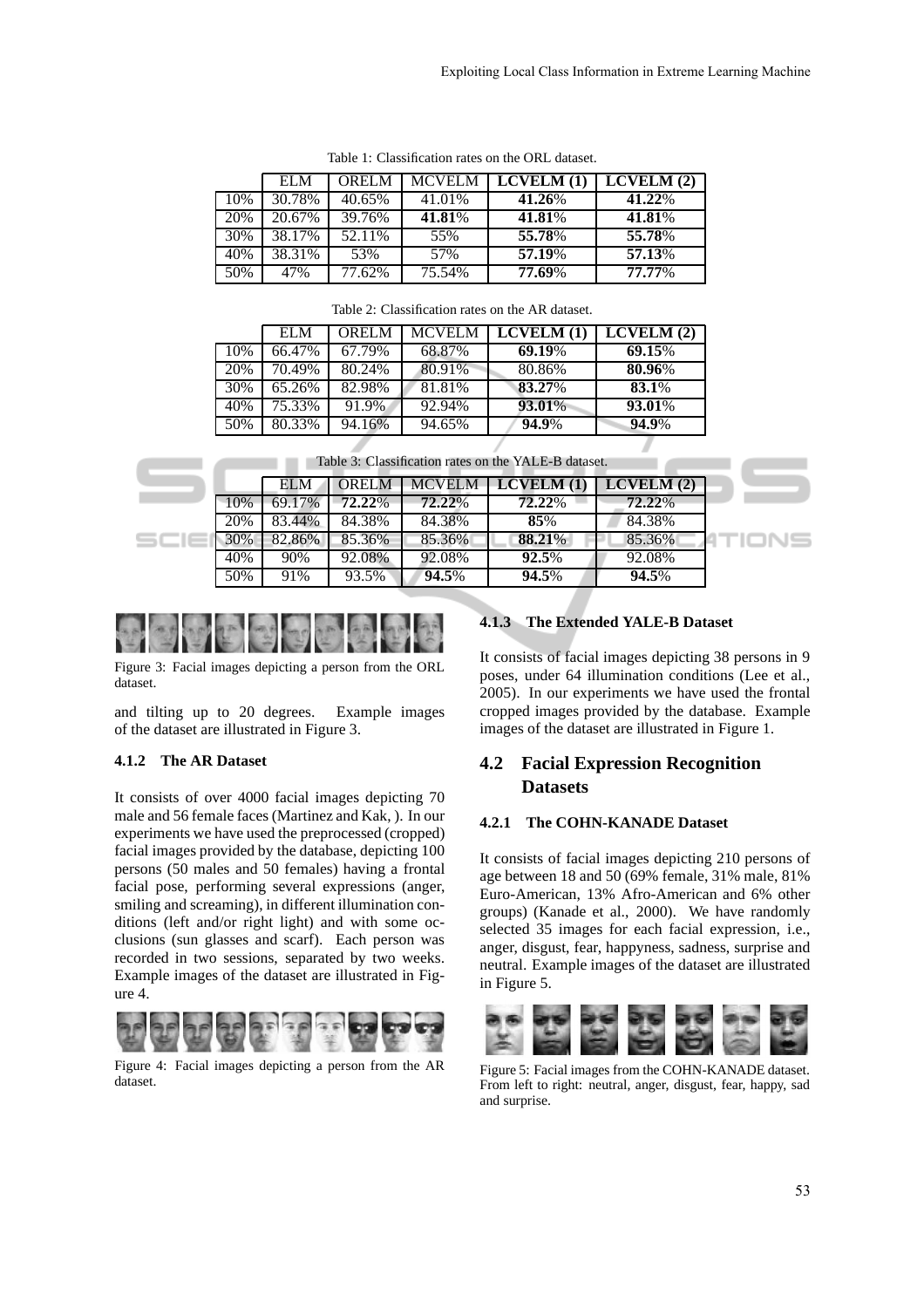|     | EL M   | <b>ORELM</b> | <b>MCVELM</b> | <b>LCVELM</b> | LCVELM(2) |
|-----|--------|--------------|---------------|---------------|-----------|
| 10% | 30.78% | 40.65%       | 41.01%        | 41.26%        | 41.22%    |
| 20% | 20.67% | 39.76%       | 41.81%        | 41.81%        | 41.81%    |
| 30% | 38.17% | 52.11%       | 55%           | 55.78%        | 55.78%    |
| 40% | 38.31% | 53%          | 57%           | 57.19%        | 57.13%    |
| 50% | 47%    | 77.62%       | 75.54%        | 77.69%        | 77.77%    |

Table 1: Classification rates on the ORL dataset.

|     | <b>ELM</b> | <b>ORELM</b> | <b>MCVELM</b> | LCVELM(1) | LCVELM(2) |  |  |  |
|-----|------------|--------------|---------------|-----------|-----------|--|--|--|
| 10% | 66.47%     | 67.79%       | 68.87%        | 69.19%    | 69.15%    |  |  |  |
| 20% | 70.49%     | 80.24%       | 80.91%        | 80.86%    | 80.96%    |  |  |  |
| 30% | 65.26%     | 82.98%       | 81.81%        | 83.27%    | 83.1%     |  |  |  |
| 40% | 75.33%     | 91.9%        | 92.94%        | 93.01%    | 93.01%    |  |  |  |
| 50% | 80.33%     | 94.16%       | 94.65%        | 94.9%     | 94.9%     |  |  |  |
|     |            |              |               |           |           |  |  |  |

Table 2: Classification rates on the AR dataset.

|     |        |              |               | Table 3: Classification rates on the YALE-B dataset. |           |     |
|-----|--------|--------------|---------------|------------------------------------------------------|-----------|-----|
|     | ELM    | <b>ORELM</b> | <b>MCVELM</b> | LCVELM (1)                                           | LCVELM(2) |     |
| 10% | 69.17% | 72.22%       | 72.22%        | 72.22%                                               | 72.22%    |     |
| 20% | 83.44% | 84.38%       | 84.38%        | 85%                                                  | 84.38%    |     |
| 30% | 82.86% | 85.36%       | 85.36%        | 88.21%                                               | 85.36%    | INS |
| 40% | 90%    | 92.08%       | 92.08%        | 92.5%                                                | 92.08%    |     |
| 50% | 91%    | 93.5%        | 94.5%         | 94.5%                                                | 94.5%     |     |



Figure 3: Facial images depicting a person from the ORL dataset.

and tilting up to 20 degrees. Example images of the dataset are illustrated in Figure 3.

### **4.1.2 The AR Dataset**

It consists of over 4000 facial images depicting 70 male and 56 female faces (Martinez and Kak, ). In our experiments we have used the preprocessed (cropped) facial images provided by the database, depicting 100 persons (50 males and 50 females) having a frontal facial pose, performing several expressions (anger, smiling and screaming), in different illumination conditions (left and/or right light) and with some occlusions (sun glasses and scarf). Each person was recorded in two sessions, separated by two weeks. Example images of the dataset are illustrated in Figure 4.



Figure 4: Facial images depicting a person from the AR dataset.

### **4.1.3 The Extended YALE-B Dataset**

It consists of facial images depicting 38 persons in 9 poses, under 64 illumination conditions (Lee et al., 2005). In our experiments we have used the frontal cropped images provided by the database. Example images of the dataset are illustrated in Figure 1.

# **4.2 Facial Expression Recognition Datasets**

### **4.2.1 The COHN-KANADE Dataset**

It consists of facial images depicting 210 persons of age between 18 and 50 (69% female, 31% male, 81% Euro-American, 13% Afro-American and 6% other groups) (Kanade et al., 2000). We have randomly selected 35 images for each facial expression, i.e., anger, disgust, fear, happyness, sadness, surprise and neutral. Example images of the dataset are illustrated in Figure 5.



Figure 5: Facial images from the COHN-KANADE dataset. From left to right: neutral, anger, disgust, fear, happy, sad and surprise.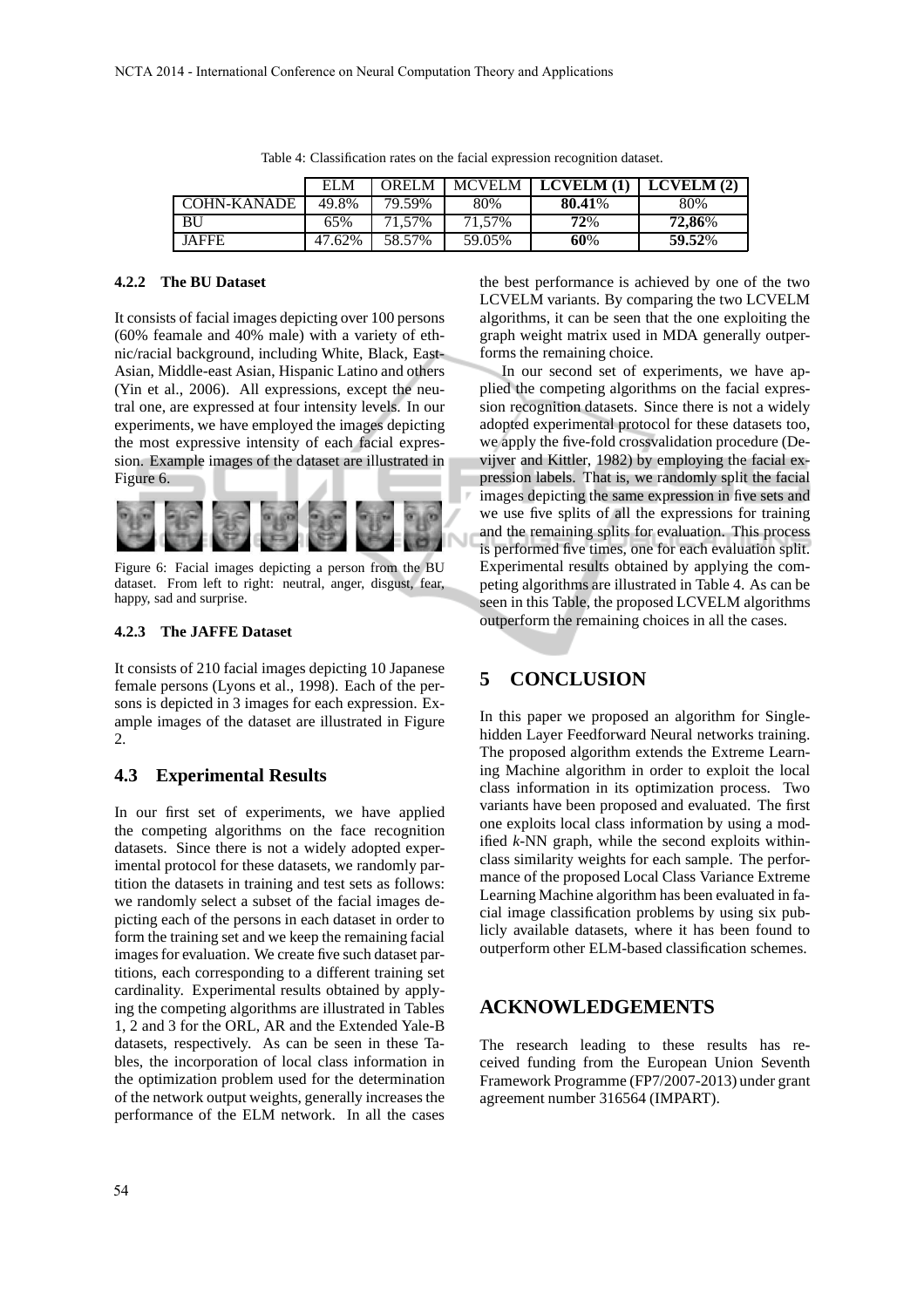|                    | EL M   | OREI M | <b>MCVELM</b> | LCVELM(1) | LCVELM(2) |
|--------------------|--------|--------|---------------|-----------|-----------|
| <b>COHN-KANADE</b> | 49.8%  | 79.59% | 80%           | 80.41%    | 80%       |
| <b>BU</b>          | 65%    | 71.57% | 71,57%        | 72%       | 72,86%    |
| <b>JAFFE</b>       | 47.62% | 58.57% | 59.05%        | 60%       | 59.52%    |

Table 4: Classification rates on the facial expression recognition dataset.

### **4.2.2 The BU Dataset**

It consists of facial images depicting over 100 persons (60% feamale and 40% male) with a variety of ethnic/racial background, including White, Black, East-Asian, Middle-east Asian, Hispanic Latino and others (Yin et al., 2006). All expressions, except the neutral one, are expressed at four intensity levels. In our experiments, we have employed the images depicting the most expressive intensity of each facial expression. Example images of the dataset are illustrated in Figure 6.



Figure 6: Facial images depicting a person from the BU dataset. From left to right: neutral, anger, disgust, fear, happy, sad and surprise.

#### **4.2.3 The JAFFE Dataset**

It consists of 210 facial images depicting 10 Japanese female persons (Lyons et al., 1998). Each of the persons is depicted in 3 images for each expression. Example images of the dataset are illustrated in Figure 2.

### **4.3 Experimental Results**

In our first set of experiments, we have applied the competing algorithms on the face recognition datasets. Since there is not a widely adopted experimental protocol for these datasets, we randomly partition the datasets in training and test sets as follows: we randomly select a subset of the facial images depicting each of the persons in each dataset in order to form the training set and we keep the remaining facial images for evaluation. We create five such dataset partitions, each corresponding to a different training set cardinality. Experimental results obtained by applying the competing algorithms are illustrated in Tables 1, 2 and 3 for the ORL, AR and the Extended Yale-B datasets, respectively. As can be seen in these Tables, the incorporation of local class information in the optimization problem used for the determination of the network output weights, generally increases the performance of the ELM network. In all the cases

the best performance is achieved by one of the two LCVELM variants. By comparing the two LCVELM algorithms, it can be seen that the one exploiting the graph weight matrix used in MDA generally outperforms the remaining choice.

In our second set of experiments, we have applied the competing algorithms on the facial expression recognition datasets. Since there is not a widely adopted experimental protocol for these datasets too, we apply the five-fold crossvalidation procedure (Devijver and Kittler, 1982) by employing the facial expression labels. That is, we randomly split the facial images depicting the same expression in five sets and we use five splits of all the expressions for training and the remaining splits for evaluation. This process is performed five times, one for each evaluation split. Experimental results obtained by applying the competing algorithms are illustrated in Table 4. As can be seen in this Table, the proposed LCVELM algorithms outperform the remaining choices in all the cases.

## **5 CONCLUSION**

In this paper we proposed an algorithm for Singlehidden Layer Feedforward Neural networks training. The proposed algorithm extends the Extreme Learning Machine algorithm in order to exploit the local class information in its optimization process. Two variants have been proposed and evaluated. The first one exploits local class information by using a modified *k*-NN graph, while the second exploits withinclass similarity weights for each sample. The performance of the proposed Local Class Variance Extreme Learning Machine algorithm has been evaluated in facial image classification problems by using six publicly available datasets, where it has been found to outperform other ELM-based classification schemes.

## **ACKNOWLEDGEMENTS**

The research leading to these results has received funding from the European Union Seventh Framework Programme (FP7/2007-2013) under grant agreement number 316564 (IMPART).